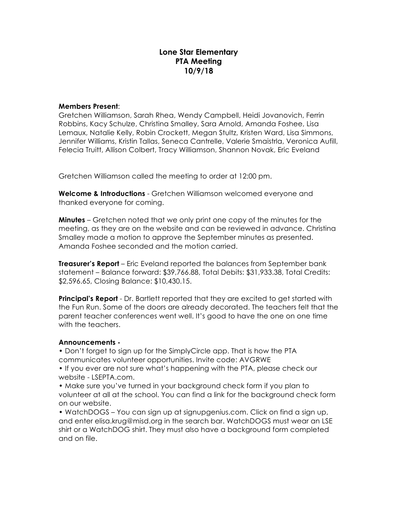# **Lone Star Elementary PTA Meeting 10/9/18**

#### **Members Present**:

Gretchen Williamson, Sarah Rhea, Wendy Campbell, Heidi Jovanovich, Ferrin Robbins, Kacy Schulze, Christina Smalley, Sara Arnold, Amanda Foshee, Lisa Lemaux, Natalie Kelly, Robin Crockett, Megan Stultz, Kristen Ward, Lisa Simmons, Jennifer Williams, Kristin Tallas, Seneca Cantrelle, Valerie Smaistrla, Veronica Aufill, Felecia Truitt, Allison Colbert, Tracy Williamson, Shannon Novak, Eric Eveland

Gretchen Williamson called the meeting to order at 12:00 pm.

**Welcome & Introductions** - Gretchen Williamson welcomed everyone and thanked everyone for coming.

**Minutes** – Gretchen noted that we only print one copy of the minutes for the meeting, as they are on the website and can be reviewed in advance. Christina Smalley made a motion to approve the September minutes as presented. Amanda Foshee seconded and the motion carried.

**Treasurer's Report** – Eric Eveland reported the balances from September bank statement – Balance forward: \$39,766.88, Total Debits: \$31,933.38, Total Credits: \$2,596.65, Closing Balance: \$10,430.15.

**Principal's Report** - Dr. Bartlett reported that they are excited to get started with the Fun Run. Some of the doors are already decorated. The teachers felt that the parent teacher conferences went well. It's good to have the one on one time with the teachers.

#### **Announcements -**

• Don't forget to sign up for the SimplyCircle app. That is how the PTA communicates volunteer opportunities. Invite code: AVGRWE

• If you ever are not sure what's happening with the PTA, please check our website - LSEPTA.com.

• Make sure you've turned in your background check form if you plan to volunteer at all at the school. You can find a link for the background check form on our website.

• WatchDOGS – You can sign up at signupgenius.com. Click on find a sign up, and enter elisa.krug@misd.org in the search bar. WatchDOGS must wear an LSE shirt or a WatchDOG shirt. They must also have a background form completed and on file.